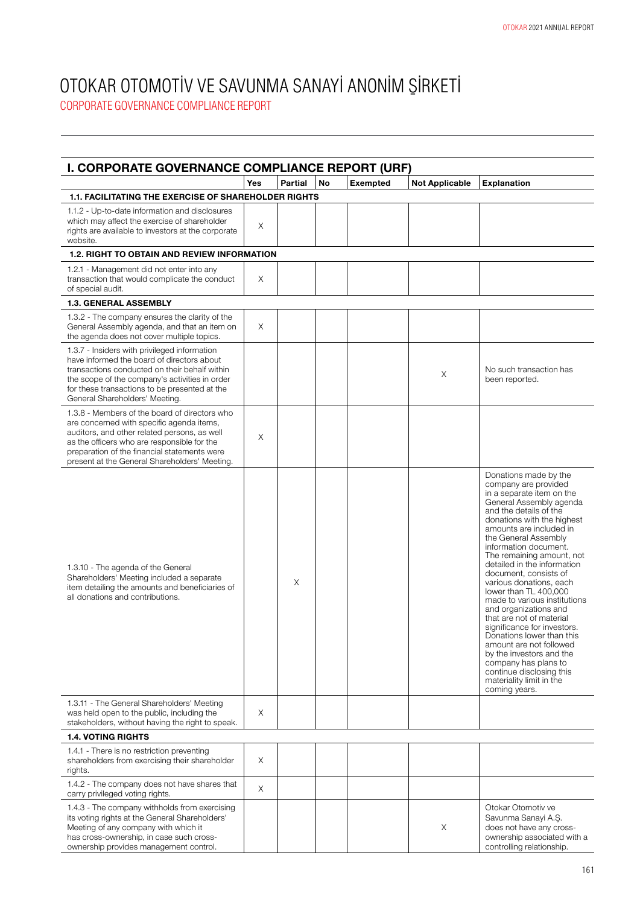| I. CORPORATE GOVERNANCE COMPLIANCE REPORT (URF)                                                                                                                                                                                                                                            | Yes | <b>Partial</b> | No | <b>Exempted</b> | <b>Not Applicable</b> | <b>Explanation</b>                                                                                                                                                                                                                                                                                                                                                                                                                                                                                                                                                                                                                                                                          |
|--------------------------------------------------------------------------------------------------------------------------------------------------------------------------------------------------------------------------------------------------------------------------------------------|-----|----------------|----|-----------------|-----------------------|---------------------------------------------------------------------------------------------------------------------------------------------------------------------------------------------------------------------------------------------------------------------------------------------------------------------------------------------------------------------------------------------------------------------------------------------------------------------------------------------------------------------------------------------------------------------------------------------------------------------------------------------------------------------------------------------|
| <b>1.1. FACILITATING THE EXERCISE OF SHAREHOLDER RIGHTS</b>                                                                                                                                                                                                                                |     |                |    |                 |                       |                                                                                                                                                                                                                                                                                                                                                                                                                                                                                                                                                                                                                                                                                             |
| 1.1.2 - Up-to-date information and disclosures<br>which may affect the exercise of shareholder<br>rights are available to investors at the corporate<br>website.                                                                                                                           | X   |                |    |                 |                       |                                                                                                                                                                                                                                                                                                                                                                                                                                                                                                                                                                                                                                                                                             |
| <b>1.2. RIGHT TO OBTAIN AND REVIEW INFORMATION</b>                                                                                                                                                                                                                                         |     |                |    |                 |                       |                                                                                                                                                                                                                                                                                                                                                                                                                                                                                                                                                                                                                                                                                             |
| 1.2.1 - Management did not enter into any<br>transaction that would complicate the conduct<br>of special audit.                                                                                                                                                                            | Χ   |                |    |                 |                       |                                                                                                                                                                                                                                                                                                                                                                                                                                                                                                                                                                                                                                                                                             |
| <b>1.3. GENERAL ASSEMBLY</b>                                                                                                                                                                                                                                                               |     |                |    |                 |                       |                                                                                                                                                                                                                                                                                                                                                                                                                                                                                                                                                                                                                                                                                             |
| 1.3.2 - The company ensures the clarity of the<br>General Assembly agenda, and that an item on<br>the agenda does not cover multiple topics.                                                                                                                                               | X   |                |    |                 |                       |                                                                                                                                                                                                                                                                                                                                                                                                                                                                                                                                                                                                                                                                                             |
| 1.3.7 - Insiders with privileged information<br>have informed the board of directors about<br>transactions conducted on their behalf within<br>the scope of the company's activities in order<br>for these transactions to be presented at the<br>General Shareholders' Meeting.           |     |                |    |                 | Χ                     | No such transaction has<br>been reported.                                                                                                                                                                                                                                                                                                                                                                                                                                                                                                                                                                                                                                                   |
| 1.3.8 - Members of the board of directors who<br>are concerned with specific agenda items,<br>auditors, and other related persons, as well<br>as the officers who are responsible for the<br>preparation of the financial statements were<br>present at the General Shareholders' Meeting. | Χ   |                |    |                 |                       |                                                                                                                                                                                                                                                                                                                                                                                                                                                                                                                                                                                                                                                                                             |
| 1.3.10 - The agenda of the General<br>Shareholders' Meeting included a separate<br>item detailing the amounts and beneficiaries of<br>all donations and contributions.                                                                                                                     |     | X              |    |                 |                       | Donations made by the<br>company are provided<br>in a separate item on the<br>General Assembly agenda<br>and the details of the<br>donations with the highest<br>amounts are included in<br>the General Assembly<br>information document.<br>The remaining amount, not<br>detailed in the information<br>document, consists of<br>various donations, each<br>lower than TL 400,000<br>made to various institutions<br>and organizations and<br>that are not of material<br>significance for investors.<br>Donations lower than this<br>amount are not followed<br>by the investors and the<br>company has plans to<br>continue disclosing this<br>materiality limit in the<br>coming years. |
| 1.3.11 - The General Shareholders' Meeting<br>was held open to the public, including the<br>stakeholders, without having the right to speak.                                                                                                                                               | Χ   |                |    |                 |                       |                                                                                                                                                                                                                                                                                                                                                                                                                                                                                                                                                                                                                                                                                             |
| <b>1.4. VOTING RIGHTS</b>                                                                                                                                                                                                                                                                  |     |                |    |                 |                       |                                                                                                                                                                                                                                                                                                                                                                                                                                                                                                                                                                                                                                                                                             |
| 1.4.1 - There is no restriction preventing<br>shareholders from exercising their shareholder<br>rights.                                                                                                                                                                                    | X   |                |    |                 |                       |                                                                                                                                                                                                                                                                                                                                                                                                                                                                                                                                                                                                                                                                                             |
| 1.4.2 - The company does not have shares that<br>carry privileged voting rights.                                                                                                                                                                                                           | X   |                |    |                 |                       |                                                                                                                                                                                                                                                                                                                                                                                                                                                                                                                                                                                                                                                                                             |
| 1.4.3 - The company withholds from exercising<br>its voting rights at the General Shareholders'<br>Meeting of any company with which it<br>has cross-ownership, in case such cross-<br>ownership provides management control.                                                              |     |                |    |                 | $\times$              | Otokar Otomotiv ve<br>Savunma Sanayi A.S.<br>does not have any cross-<br>ownership associated with a<br>controlling relationship.                                                                                                                                                                                                                                                                                                                                                                                                                                                                                                                                                           |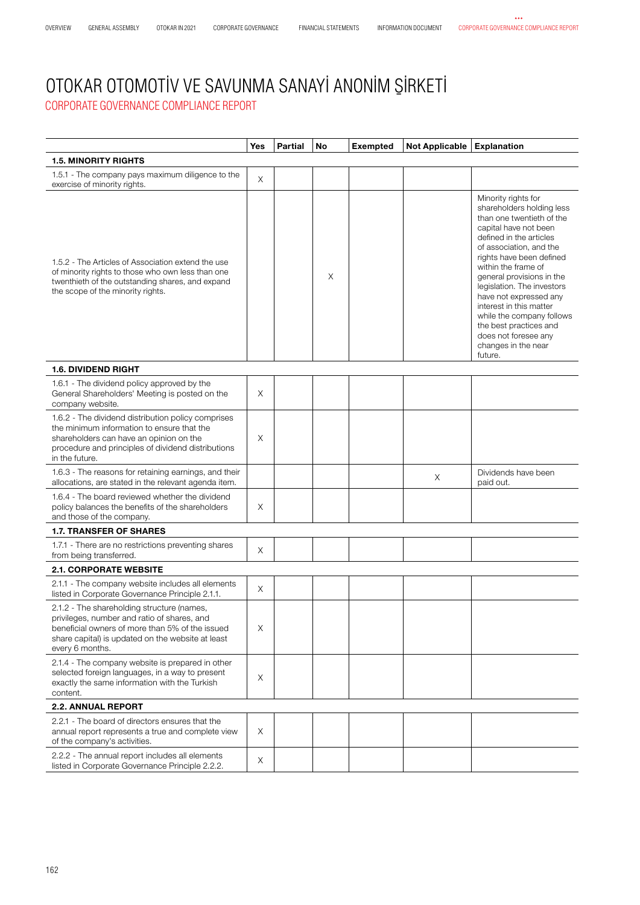|                                                                                                                                                                                                                      | Yes | <b>Partial</b> | No | <b>Exempted</b> | Not Applicable Explanation |                                                                                                                                                                                                                                                                                                                                                                                                                                                  |
|----------------------------------------------------------------------------------------------------------------------------------------------------------------------------------------------------------------------|-----|----------------|----|-----------------|----------------------------|--------------------------------------------------------------------------------------------------------------------------------------------------------------------------------------------------------------------------------------------------------------------------------------------------------------------------------------------------------------------------------------------------------------------------------------------------|
| <b>1.5. MINORITY RIGHTS</b>                                                                                                                                                                                          |     |                |    |                 |                            |                                                                                                                                                                                                                                                                                                                                                                                                                                                  |
| 1.5.1 - The company pays maximum diligence to the<br>exercise of minority rights.                                                                                                                                    | X   |                |    |                 |                            |                                                                                                                                                                                                                                                                                                                                                                                                                                                  |
| 1.5.2 - The Articles of Association extend the use<br>of minority rights to those who own less than one<br>twenthieth of the outstanding shares, and expand<br>the scope of the minority rights.                     |     |                | Χ  |                 |                            | Minority rights for<br>shareholders holding less<br>than one twentieth of the<br>capital have not been<br>defined in the articles<br>of association, and the<br>rights have been defined<br>within the frame of<br>general provisions in the<br>legislation. The investors<br>have not expressed any<br>interest in this matter<br>while the company follows<br>the best practices and<br>does not foresee any<br>changes in the near<br>future. |
| <b>1.6. DIVIDEND RIGHT</b>                                                                                                                                                                                           |     |                |    |                 |                            |                                                                                                                                                                                                                                                                                                                                                                                                                                                  |
| 1.6.1 - The dividend policy approved by the<br>General Shareholders' Meeting is posted on the<br>company website.                                                                                                    | X   |                |    |                 |                            |                                                                                                                                                                                                                                                                                                                                                                                                                                                  |
| 1.6.2 - The dividend distribution policy comprises<br>the minimum information to ensure that the<br>shareholders can have an opinion on the<br>procedure and principles of dividend distributions<br>in the future.  | X   |                |    |                 |                            |                                                                                                                                                                                                                                                                                                                                                                                                                                                  |
| 1.6.3 - The reasons for retaining earnings, and their<br>allocations, are stated in the relevant agenda item.                                                                                                        |     |                |    |                 | Χ                          | Dividends have been<br>paid out.                                                                                                                                                                                                                                                                                                                                                                                                                 |
| 1.6.4 - The board reviewed whether the dividend<br>policy balances the benefits of the shareholders<br>and those of the company.                                                                                     | Χ   |                |    |                 |                            |                                                                                                                                                                                                                                                                                                                                                                                                                                                  |
| <b>1.7. TRANSFER OF SHARES</b>                                                                                                                                                                                       |     |                |    |                 |                            |                                                                                                                                                                                                                                                                                                                                                                                                                                                  |
| 1.7.1 - There are no restrictions preventing shares<br>from being transferred.                                                                                                                                       | Χ   |                |    |                 |                            |                                                                                                                                                                                                                                                                                                                                                                                                                                                  |
| <b>2.1. CORPORATE WEBSITE</b>                                                                                                                                                                                        |     |                |    |                 |                            |                                                                                                                                                                                                                                                                                                                                                                                                                                                  |
| 2.1.1 - The company website includes all elements<br>listed in Corporate Governance Principle 2.1.1.                                                                                                                 | Χ   |                |    |                 |                            |                                                                                                                                                                                                                                                                                                                                                                                                                                                  |
| 2.1.2 - The shareholding structure (names,<br>privileges, number and ratio of shares, and<br>beneficial owners of more than 5% of the issued<br>share capital) is updated on the website at least<br>every 6 months. | X   |                |    |                 |                            |                                                                                                                                                                                                                                                                                                                                                                                                                                                  |
| 2.1.4 - The company website is prepared in other<br>selected foreign languages, in a way to present<br>exactly the same information with the Turkish<br>content.                                                     | Χ   |                |    |                 |                            |                                                                                                                                                                                                                                                                                                                                                                                                                                                  |
| <b>2.2. ANNUAL REPORT</b>                                                                                                                                                                                            |     |                |    |                 |                            |                                                                                                                                                                                                                                                                                                                                                                                                                                                  |
| 2.2.1 - The board of directors ensures that the<br>annual report represents a true and complete view<br>of the company's activities.                                                                                 | Χ   |                |    |                 |                            |                                                                                                                                                                                                                                                                                                                                                                                                                                                  |
| 2.2.2 - The annual report includes all elements<br>listed in Corporate Governance Principle 2.2.2.                                                                                                                   | Χ   |                |    |                 |                            |                                                                                                                                                                                                                                                                                                                                                                                                                                                  |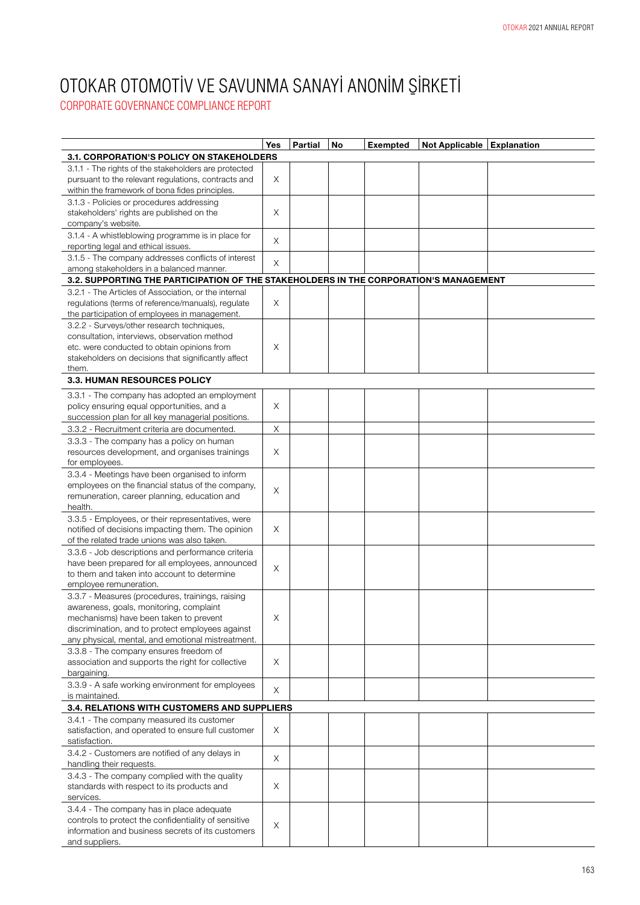| <b>3.1. CORPORATION'S POLICY ON STAKEHOLDERS</b><br>3.1.1 - The rights of the stakeholders are protected<br>Χ<br>pursuant to the relevant regulations, contracts and<br>within the framework of bona fides principles.<br>3.1.3 - Policies or procedures addressing<br>stakeholders' rights are published on the<br>Χ<br>company's website.<br>3.1.4 - A whistleblowing programme is in place for<br>X<br>reporting legal and ethical issues.<br>3.1.5 - The company addresses conflicts of interest<br>X<br>among stakeholders in a balanced manner.<br>3.2. SUPPORTING THE PARTICIPATION OF THE STAKEHOLDERS IN THE CORPORATION'S MANAGEMENT<br>3.2.1 - The Articles of Association, or the internal<br>regulations (terms of reference/manuals), regulate<br>Χ<br>the participation of employees in management.<br>3.2.2 - Surveys/other research techniques,<br>consultation, interviews, observation method<br>etc. were conducted to obtain opinions from<br>Χ<br>stakeholders on decisions that significantly affect<br>them.<br><b>3.3. HUMAN RESOURCES POLICY</b><br>3.3.1 - The company has adopted an employment<br>policy ensuring equal opportunities, and a<br>X<br>succession plan for all key managerial positions.<br>$\mathsf X$<br>3.3.2 - Recruitment criteria are documented.<br>3.3.3 - The company has a policy on human<br>X<br>resources development, and organises trainings<br>for employees.<br>3.3.4 - Meetings have been organised to inform<br>employees on the financial status of the company,<br>X<br>remuneration, career planning, education and<br>health.<br>3.3.5 - Employees, or their representatives, were | Yes | <b>Partial</b> | <b>No</b> | <b>Exempted</b> | Not Applicable   Explanation |  |
|------------------------------------------------------------------------------------------------------------------------------------------------------------------------------------------------------------------------------------------------------------------------------------------------------------------------------------------------------------------------------------------------------------------------------------------------------------------------------------------------------------------------------------------------------------------------------------------------------------------------------------------------------------------------------------------------------------------------------------------------------------------------------------------------------------------------------------------------------------------------------------------------------------------------------------------------------------------------------------------------------------------------------------------------------------------------------------------------------------------------------------------------------------------------------------------------------------------------------------------------------------------------------------------------------------------------------------------------------------------------------------------------------------------------------------------------------------------------------------------------------------------------------------------------------------------------------------------------------------------------------------------------------|-----|----------------|-----------|-----------------|------------------------------|--|
|                                                                                                                                                                                                                                                                                                                                                                                                                                                                                                                                                                                                                                                                                                                                                                                                                                                                                                                                                                                                                                                                                                                                                                                                                                                                                                                                                                                                                                                                                                                                                                                                                                                      |     |                |           |                 |                              |  |
|                                                                                                                                                                                                                                                                                                                                                                                                                                                                                                                                                                                                                                                                                                                                                                                                                                                                                                                                                                                                                                                                                                                                                                                                                                                                                                                                                                                                                                                                                                                                                                                                                                                      |     |                |           |                 |                              |  |
|                                                                                                                                                                                                                                                                                                                                                                                                                                                                                                                                                                                                                                                                                                                                                                                                                                                                                                                                                                                                                                                                                                                                                                                                                                                                                                                                                                                                                                                                                                                                                                                                                                                      |     |                |           |                 |                              |  |
|                                                                                                                                                                                                                                                                                                                                                                                                                                                                                                                                                                                                                                                                                                                                                                                                                                                                                                                                                                                                                                                                                                                                                                                                                                                                                                                                                                                                                                                                                                                                                                                                                                                      |     |                |           |                 |                              |  |
|                                                                                                                                                                                                                                                                                                                                                                                                                                                                                                                                                                                                                                                                                                                                                                                                                                                                                                                                                                                                                                                                                                                                                                                                                                                                                                                                                                                                                                                                                                                                                                                                                                                      |     |                |           |                 |                              |  |
|                                                                                                                                                                                                                                                                                                                                                                                                                                                                                                                                                                                                                                                                                                                                                                                                                                                                                                                                                                                                                                                                                                                                                                                                                                                                                                                                                                                                                                                                                                                                                                                                                                                      |     |                |           |                 |                              |  |
|                                                                                                                                                                                                                                                                                                                                                                                                                                                                                                                                                                                                                                                                                                                                                                                                                                                                                                                                                                                                                                                                                                                                                                                                                                                                                                                                                                                                                                                                                                                                                                                                                                                      |     |                |           |                 |                              |  |
|                                                                                                                                                                                                                                                                                                                                                                                                                                                                                                                                                                                                                                                                                                                                                                                                                                                                                                                                                                                                                                                                                                                                                                                                                                                                                                                                                                                                                                                                                                                                                                                                                                                      |     |                |           |                 |                              |  |
|                                                                                                                                                                                                                                                                                                                                                                                                                                                                                                                                                                                                                                                                                                                                                                                                                                                                                                                                                                                                                                                                                                                                                                                                                                                                                                                                                                                                                                                                                                                                                                                                                                                      |     |                |           |                 |                              |  |
|                                                                                                                                                                                                                                                                                                                                                                                                                                                                                                                                                                                                                                                                                                                                                                                                                                                                                                                                                                                                                                                                                                                                                                                                                                                                                                                                                                                                                                                                                                                                                                                                                                                      |     |                |           |                 |                              |  |
|                                                                                                                                                                                                                                                                                                                                                                                                                                                                                                                                                                                                                                                                                                                                                                                                                                                                                                                                                                                                                                                                                                                                                                                                                                                                                                                                                                                                                                                                                                                                                                                                                                                      |     |                |           |                 |                              |  |
|                                                                                                                                                                                                                                                                                                                                                                                                                                                                                                                                                                                                                                                                                                                                                                                                                                                                                                                                                                                                                                                                                                                                                                                                                                                                                                                                                                                                                                                                                                                                                                                                                                                      |     |                |           |                 |                              |  |
|                                                                                                                                                                                                                                                                                                                                                                                                                                                                                                                                                                                                                                                                                                                                                                                                                                                                                                                                                                                                                                                                                                                                                                                                                                                                                                                                                                                                                                                                                                                                                                                                                                                      |     |                |           |                 |                              |  |
|                                                                                                                                                                                                                                                                                                                                                                                                                                                                                                                                                                                                                                                                                                                                                                                                                                                                                                                                                                                                                                                                                                                                                                                                                                                                                                                                                                                                                                                                                                                                                                                                                                                      |     |                |           |                 |                              |  |
|                                                                                                                                                                                                                                                                                                                                                                                                                                                                                                                                                                                                                                                                                                                                                                                                                                                                                                                                                                                                                                                                                                                                                                                                                                                                                                                                                                                                                                                                                                                                                                                                                                                      |     |                |           |                 |                              |  |
|                                                                                                                                                                                                                                                                                                                                                                                                                                                                                                                                                                                                                                                                                                                                                                                                                                                                                                                                                                                                                                                                                                                                                                                                                                                                                                                                                                                                                                                                                                                                                                                                                                                      |     |                |           |                 |                              |  |
|                                                                                                                                                                                                                                                                                                                                                                                                                                                                                                                                                                                                                                                                                                                                                                                                                                                                                                                                                                                                                                                                                                                                                                                                                                                                                                                                                                                                                                                                                                                                                                                                                                                      |     |                |           |                 |                              |  |
|                                                                                                                                                                                                                                                                                                                                                                                                                                                                                                                                                                                                                                                                                                                                                                                                                                                                                                                                                                                                                                                                                                                                                                                                                                                                                                                                                                                                                                                                                                                                                                                                                                                      |     |                |           |                 |                              |  |
|                                                                                                                                                                                                                                                                                                                                                                                                                                                                                                                                                                                                                                                                                                                                                                                                                                                                                                                                                                                                                                                                                                                                                                                                                                                                                                                                                                                                                                                                                                                                                                                                                                                      |     |                |           |                 |                              |  |
|                                                                                                                                                                                                                                                                                                                                                                                                                                                                                                                                                                                                                                                                                                                                                                                                                                                                                                                                                                                                                                                                                                                                                                                                                                                                                                                                                                                                                                                                                                                                                                                                                                                      |     |                |           |                 |                              |  |
|                                                                                                                                                                                                                                                                                                                                                                                                                                                                                                                                                                                                                                                                                                                                                                                                                                                                                                                                                                                                                                                                                                                                                                                                                                                                                                                                                                                                                                                                                                                                                                                                                                                      |     |                |           |                 |                              |  |
|                                                                                                                                                                                                                                                                                                                                                                                                                                                                                                                                                                                                                                                                                                                                                                                                                                                                                                                                                                                                                                                                                                                                                                                                                                                                                                                                                                                                                                                                                                                                                                                                                                                      |     |                |           |                 |                              |  |
|                                                                                                                                                                                                                                                                                                                                                                                                                                                                                                                                                                                                                                                                                                                                                                                                                                                                                                                                                                                                                                                                                                                                                                                                                                                                                                                                                                                                                                                                                                                                                                                                                                                      |     |                |           |                 |                              |  |
|                                                                                                                                                                                                                                                                                                                                                                                                                                                                                                                                                                                                                                                                                                                                                                                                                                                                                                                                                                                                                                                                                                                                                                                                                                                                                                                                                                                                                                                                                                                                                                                                                                                      |     |                |           |                 |                              |  |
|                                                                                                                                                                                                                                                                                                                                                                                                                                                                                                                                                                                                                                                                                                                                                                                                                                                                                                                                                                                                                                                                                                                                                                                                                                                                                                                                                                                                                                                                                                                                                                                                                                                      |     |                |           |                 |                              |  |
|                                                                                                                                                                                                                                                                                                                                                                                                                                                                                                                                                                                                                                                                                                                                                                                                                                                                                                                                                                                                                                                                                                                                                                                                                                                                                                                                                                                                                                                                                                                                                                                                                                                      |     |                |           |                 |                              |  |
|                                                                                                                                                                                                                                                                                                                                                                                                                                                                                                                                                                                                                                                                                                                                                                                                                                                                                                                                                                                                                                                                                                                                                                                                                                                                                                                                                                                                                                                                                                                                                                                                                                                      |     |                |           |                 |                              |  |
|                                                                                                                                                                                                                                                                                                                                                                                                                                                                                                                                                                                                                                                                                                                                                                                                                                                                                                                                                                                                                                                                                                                                                                                                                                                                                                                                                                                                                                                                                                                                                                                                                                                      |     |                |           |                 |                              |  |
|                                                                                                                                                                                                                                                                                                                                                                                                                                                                                                                                                                                                                                                                                                                                                                                                                                                                                                                                                                                                                                                                                                                                                                                                                                                                                                                                                                                                                                                                                                                                                                                                                                                      |     |                |           |                 |                              |  |
|                                                                                                                                                                                                                                                                                                                                                                                                                                                                                                                                                                                                                                                                                                                                                                                                                                                                                                                                                                                                                                                                                                                                                                                                                                                                                                                                                                                                                                                                                                                                                                                                                                                      |     |                |           |                 |                              |  |
|                                                                                                                                                                                                                                                                                                                                                                                                                                                                                                                                                                                                                                                                                                                                                                                                                                                                                                                                                                                                                                                                                                                                                                                                                                                                                                                                                                                                                                                                                                                                                                                                                                                      |     |                |           |                 |                              |  |
| notified of decisions impacting them. The opinion<br>Χ                                                                                                                                                                                                                                                                                                                                                                                                                                                                                                                                                                                                                                                                                                                                                                                                                                                                                                                                                                                                                                                                                                                                                                                                                                                                                                                                                                                                                                                                                                                                                                                               |     |                |           |                 |                              |  |
| of the related trade unions was also taken.<br>3.3.6 - Job descriptions and performance criteria                                                                                                                                                                                                                                                                                                                                                                                                                                                                                                                                                                                                                                                                                                                                                                                                                                                                                                                                                                                                                                                                                                                                                                                                                                                                                                                                                                                                                                                                                                                                                     |     |                |           |                 |                              |  |
| have been prepared for all employees, announced                                                                                                                                                                                                                                                                                                                                                                                                                                                                                                                                                                                                                                                                                                                                                                                                                                                                                                                                                                                                                                                                                                                                                                                                                                                                                                                                                                                                                                                                                                                                                                                                      |     |                |           |                 |                              |  |
| X<br>to them and taken into account to determine                                                                                                                                                                                                                                                                                                                                                                                                                                                                                                                                                                                                                                                                                                                                                                                                                                                                                                                                                                                                                                                                                                                                                                                                                                                                                                                                                                                                                                                                                                                                                                                                     |     |                |           |                 |                              |  |
| employee remuneration.                                                                                                                                                                                                                                                                                                                                                                                                                                                                                                                                                                                                                                                                                                                                                                                                                                                                                                                                                                                                                                                                                                                                                                                                                                                                                                                                                                                                                                                                                                                                                                                                                               |     |                |           |                 |                              |  |
| 3.3.7 - Measures (procedures, trainings, raising                                                                                                                                                                                                                                                                                                                                                                                                                                                                                                                                                                                                                                                                                                                                                                                                                                                                                                                                                                                                                                                                                                                                                                                                                                                                                                                                                                                                                                                                                                                                                                                                     |     |                |           |                 |                              |  |
| awareness, goals, monitoring, complaint                                                                                                                                                                                                                                                                                                                                                                                                                                                                                                                                                                                                                                                                                                                                                                                                                                                                                                                                                                                                                                                                                                                                                                                                                                                                                                                                                                                                                                                                                                                                                                                                              |     |                |           |                 |                              |  |
| Χ<br>mechanisms) have been taken to prevent                                                                                                                                                                                                                                                                                                                                                                                                                                                                                                                                                                                                                                                                                                                                                                                                                                                                                                                                                                                                                                                                                                                                                                                                                                                                                                                                                                                                                                                                                                                                                                                                          |     |                |           |                 |                              |  |
| discrimination, and to protect employees against                                                                                                                                                                                                                                                                                                                                                                                                                                                                                                                                                                                                                                                                                                                                                                                                                                                                                                                                                                                                                                                                                                                                                                                                                                                                                                                                                                                                                                                                                                                                                                                                     |     |                |           |                 |                              |  |
| any physical, mental, and emotional mistreatment.                                                                                                                                                                                                                                                                                                                                                                                                                                                                                                                                                                                                                                                                                                                                                                                                                                                                                                                                                                                                                                                                                                                                                                                                                                                                                                                                                                                                                                                                                                                                                                                                    |     |                |           |                 |                              |  |
| 3.3.8 - The company ensures freedom of<br>X<br>association and supports the right for collective                                                                                                                                                                                                                                                                                                                                                                                                                                                                                                                                                                                                                                                                                                                                                                                                                                                                                                                                                                                                                                                                                                                                                                                                                                                                                                                                                                                                                                                                                                                                                     |     |                |           |                 |                              |  |
| bargaining.                                                                                                                                                                                                                                                                                                                                                                                                                                                                                                                                                                                                                                                                                                                                                                                                                                                                                                                                                                                                                                                                                                                                                                                                                                                                                                                                                                                                                                                                                                                                                                                                                                          |     |                |           |                 |                              |  |
| 3.3.9 - A safe working environment for employees                                                                                                                                                                                                                                                                                                                                                                                                                                                                                                                                                                                                                                                                                                                                                                                                                                                                                                                                                                                                                                                                                                                                                                                                                                                                                                                                                                                                                                                                                                                                                                                                     |     |                |           |                 |                              |  |
| X<br>is maintained.                                                                                                                                                                                                                                                                                                                                                                                                                                                                                                                                                                                                                                                                                                                                                                                                                                                                                                                                                                                                                                                                                                                                                                                                                                                                                                                                                                                                                                                                                                                                                                                                                                  |     |                |           |                 |                              |  |
| 3.4. RELATIONS WITH CUSTOMERS AND SUPPLIERS                                                                                                                                                                                                                                                                                                                                                                                                                                                                                                                                                                                                                                                                                                                                                                                                                                                                                                                                                                                                                                                                                                                                                                                                                                                                                                                                                                                                                                                                                                                                                                                                          |     |                |           |                 |                              |  |
| 3.4.1 - The company measured its customer                                                                                                                                                                                                                                                                                                                                                                                                                                                                                                                                                                                                                                                                                                                                                                                                                                                                                                                                                                                                                                                                                                                                                                                                                                                                                                                                                                                                                                                                                                                                                                                                            |     |                |           |                 |                              |  |
| X<br>satisfaction, and operated to ensure full customer                                                                                                                                                                                                                                                                                                                                                                                                                                                                                                                                                                                                                                                                                                                                                                                                                                                                                                                                                                                                                                                                                                                                                                                                                                                                                                                                                                                                                                                                                                                                                                                              |     |                |           |                 |                              |  |
| satisfaction.                                                                                                                                                                                                                                                                                                                                                                                                                                                                                                                                                                                                                                                                                                                                                                                                                                                                                                                                                                                                                                                                                                                                                                                                                                                                                                                                                                                                                                                                                                                                                                                                                                        |     |                |           |                 |                              |  |
| 3.4.2 - Customers are notified of any delays in<br>X                                                                                                                                                                                                                                                                                                                                                                                                                                                                                                                                                                                                                                                                                                                                                                                                                                                                                                                                                                                                                                                                                                                                                                                                                                                                                                                                                                                                                                                                                                                                                                                                 |     |                |           |                 |                              |  |
| handling their requests.                                                                                                                                                                                                                                                                                                                                                                                                                                                                                                                                                                                                                                                                                                                                                                                                                                                                                                                                                                                                                                                                                                                                                                                                                                                                                                                                                                                                                                                                                                                                                                                                                             |     |                |           |                 |                              |  |
| 3.4.3 - The company complied with the quality                                                                                                                                                                                                                                                                                                                                                                                                                                                                                                                                                                                                                                                                                                                                                                                                                                                                                                                                                                                                                                                                                                                                                                                                                                                                                                                                                                                                                                                                                                                                                                                                        |     |                |           |                 |                              |  |
| standards with respect to its products and<br>Χ                                                                                                                                                                                                                                                                                                                                                                                                                                                                                                                                                                                                                                                                                                                                                                                                                                                                                                                                                                                                                                                                                                                                                                                                                                                                                                                                                                                                                                                                                                                                                                                                      |     |                |           |                 |                              |  |
| services.                                                                                                                                                                                                                                                                                                                                                                                                                                                                                                                                                                                                                                                                                                                                                                                                                                                                                                                                                                                                                                                                                                                                                                                                                                                                                                                                                                                                                                                                                                                                                                                                                                            |     |                |           |                 |                              |  |
| 3.4.4 - The company has in place adequate<br>controls to protect the confidentiality of sensitive                                                                                                                                                                                                                                                                                                                                                                                                                                                                                                                                                                                                                                                                                                                                                                                                                                                                                                                                                                                                                                                                                                                                                                                                                                                                                                                                                                                                                                                                                                                                                    |     |                |           |                 |                              |  |
| X<br>information and business secrets of its customers                                                                                                                                                                                                                                                                                                                                                                                                                                                                                                                                                                                                                                                                                                                                                                                                                                                                                                                                                                                                                                                                                                                                                                                                                                                                                                                                                                                                                                                                                                                                                                                               |     |                |           |                 |                              |  |
| and suppliers.                                                                                                                                                                                                                                                                                                                                                                                                                                                                                                                                                                                                                                                                                                                                                                                                                                                                                                                                                                                                                                                                                                                                                                                                                                                                                                                                                                                                                                                                                                                                                                                                                                       |     |                |           |                 |                              |  |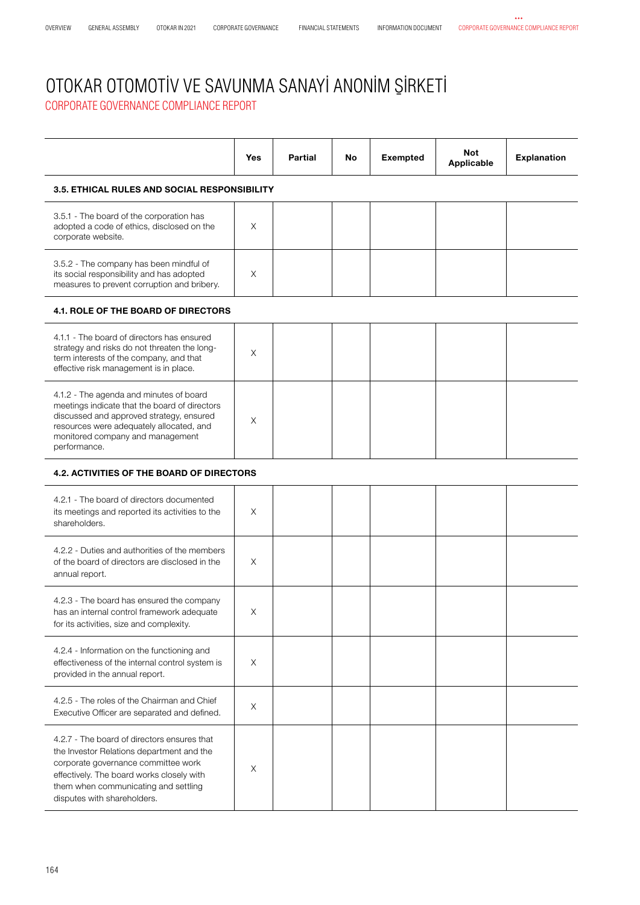|                                                                                                                                                                                                                                      | <b>Yes</b> | <b>Partial</b> | No | <b>Exempted</b> | <b>Not</b><br>Applicable | <b>Explanation</b> |  |
|--------------------------------------------------------------------------------------------------------------------------------------------------------------------------------------------------------------------------------------|------------|----------------|----|-----------------|--------------------------|--------------------|--|
| <b>3.5. ETHICAL RULES AND SOCIAL RESPONSIBILITY</b>                                                                                                                                                                                  |            |                |    |                 |                          |                    |  |
| 3.5.1 - The board of the corporation has<br>adopted a code of ethics, disclosed on the<br>corporate website.                                                                                                                         | $\times$   |                |    |                 |                          |                    |  |
| 3.5.2 - The company has been mindful of<br>its social responsibility and has adopted<br>measures to prevent corruption and bribery.                                                                                                  | X          |                |    |                 |                          |                    |  |
| <b>4.1. ROLE OF THE BOARD OF DIRECTORS</b>                                                                                                                                                                                           |            |                |    |                 |                          |                    |  |
| 4.1.1 - The board of directors has ensured<br>strategy and risks do not threaten the long-<br>term interests of the company, and that<br>effective risk management is in place.                                                      | $\times$   |                |    |                 |                          |                    |  |
| 4.1.2 - The agenda and minutes of board<br>meetings indicate that the board of directors<br>discussed and approved strategy, ensured<br>resources were adequately allocated, and<br>monitored company and management<br>performance. | X          |                |    |                 |                          |                    |  |
| <b>4.2. ACTIVITIES OF THE BOARD OF DIRECTORS</b>                                                                                                                                                                                     |            |                |    |                 |                          |                    |  |
| 4.2.1 - The board of directors documented                                                                                                                                                                                            |            |                |    |                 |                          |                    |  |

| 4.2.1 - The board of directors documented<br>its meetings and reported its activities to the<br>shareholders.                                                                                                                                       | X        |  |  |  |
|-----------------------------------------------------------------------------------------------------------------------------------------------------------------------------------------------------------------------------------------------------|----------|--|--|--|
| 4.2.2 - Duties and authorities of the members<br>of the board of directors are disclosed in the<br>annual report.                                                                                                                                   | X        |  |  |  |
| 4.2.3 - The board has ensured the company<br>has an internal control framework adequate<br>for its activities, size and complexity.                                                                                                                 | X        |  |  |  |
| 4.2.4 - Information on the functioning and<br>effectiveness of the internal control system is<br>provided in the annual report.                                                                                                                     | X        |  |  |  |
| 4.2.5 - The roles of the Chairman and Chief<br>Executive Officer are separated and defined.                                                                                                                                                         | X        |  |  |  |
| 4.2.7 - The board of directors ensures that<br>the Investor Relations department and the<br>corporate governance committee work<br>effectively. The board works closely with<br>them when communicating and settling<br>disputes with shareholders. | $\times$ |  |  |  |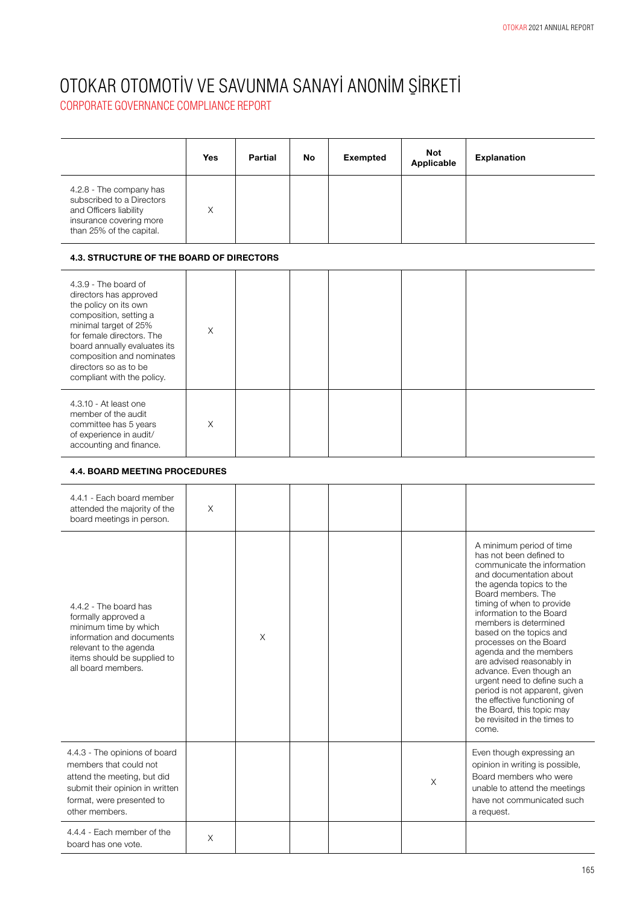CORPORATE GOVERNANCE COMPLIANCE REPORT

|                                                                                                                                       | <b>Yes</b> | Partial | No | <b>Exempted</b> | <b>Not</b><br>Applicable | <b>Explanation</b> |
|---------------------------------------------------------------------------------------------------------------------------------------|------------|---------|----|-----------------|--------------------------|--------------------|
| 4.2.8 - The company has<br>subscribed to a Directors<br>and Officers liability<br>insurance covering more<br>than 25% of the capital. | X          |         |    |                 |                          |                    |

#### **4.3. STRUCTURE OF THE BOARD OF DIRECTORS**

| 4.3.9 - The board of<br>directors has approved<br>the policy on its own<br>composition, setting a<br>minimal target of 25%<br>for female directors. The<br>board annually evaluates its<br>composition and nominates<br>directors so as to be<br>compliant with the policy. | X |  |  |  |
|-----------------------------------------------------------------------------------------------------------------------------------------------------------------------------------------------------------------------------------------------------------------------------|---|--|--|--|
| 4.3.10 - At least one<br>member of the audit<br>committee has 5 years<br>of experience in audit/<br>accounting and finance.                                                                                                                                                 | X |  |  |  |

#### **4.4. BOARD MEETING PROCEDURES**

| 4.4.1 - Each board member<br>attended the majority of the<br>board meetings in person.                                                                                            | $\times$ |          |  |          |                                                                                                                                                                                                                                                                                                                                                                                                                                                                                                                                                                 |
|-----------------------------------------------------------------------------------------------------------------------------------------------------------------------------------|----------|----------|--|----------|-----------------------------------------------------------------------------------------------------------------------------------------------------------------------------------------------------------------------------------------------------------------------------------------------------------------------------------------------------------------------------------------------------------------------------------------------------------------------------------------------------------------------------------------------------------------|
| 4.4.2 - The board has<br>formally approved a<br>minimum time by which<br>information and documents<br>relevant to the agenda<br>items should be supplied to<br>all board members. |          | $\times$ |  |          | A minimum period of time<br>has not been defined to<br>communicate the information<br>and documentation about<br>the agenda topics to the<br>Board members. The<br>timing of when to provide<br>information to the Board<br>members is determined<br>based on the topics and<br>processes on the Board<br>agenda and the members<br>are advised reasonably in<br>advance. Even though an<br>urgent need to define such a<br>period is not apparent, given<br>the effective functioning of<br>the Board, this topic may<br>be revisited in the times to<br>come. |
| 4.4.3 - The opinions of board<br>members that could not<br>attend the meeting, but did<br>submit their opinion in written<br>format, were presented to<br>other members.          |          |          |  | $\times$ | Even though expressing an<br>opinion in writing is possible,<br>Board members who were<br>unable to attend the meetings<br>have not communicated such<br>a request.                                                                                                                                                                                                                                                                                                                                                                                             |
| 4.4.4 - Each member of the<br>board has one vote.                                                                                                                                 | $\times$ |          |  |          |                                                                                                                                                                                                                                                                                                                                                                                                                                                                                                                                                                 |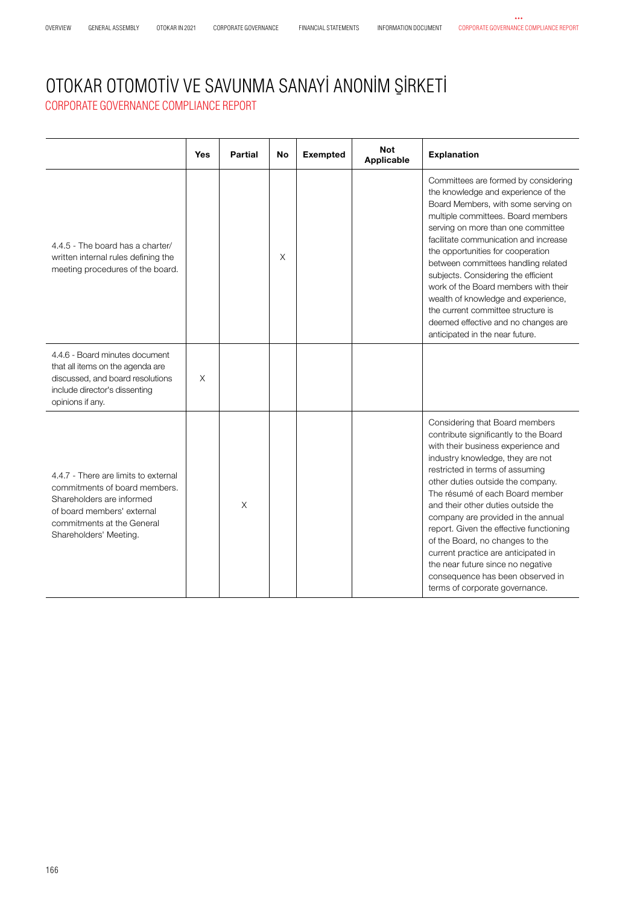#### OTOKAR OTOMOTİV VE SAVUNMA SANAYİ ANONİM ŞİRKETİ CORPORATE GOVERNANCE COMPLIANCE REPORT

**Yes Partial No Exempted Not Applicable Explanation** 4.4.5 - The board has a charter/ written internal rules defining the meeting procedures of the board. X Committees are formed by considering the knowledge and experience of the Board Members, with some serving on multiple committees. Board members serving on more than one committee facilitate communication and increase the opportunities for cooperation between committees handling related subjects. Considering the efficient work of the Board members with their wealth of knowledge and experience, the current committee structure is deemed effective and no changes are anticipated in the near future. 4.4.6 - Board minutes document that all items on the agenda are discussed, and board resolutions include director's dissenting opinions if any. X 4.4.7 - There are limits to external commitments of board members. Shareholders are informed of board members' external commitments at the General Shareholders' Meeting. X Considering that Board members contribute significantly to the Board with their business experience and industry knowledge, they are not restricted in terms of assuming other duties outside the company. The résumé of each Board member and their other duties outside the company are provided in the annual report. Given the effective functioning of the Board, no changes to the current practice are anticipated in the near future since no negative consequence has been observed in terms of corporate governance.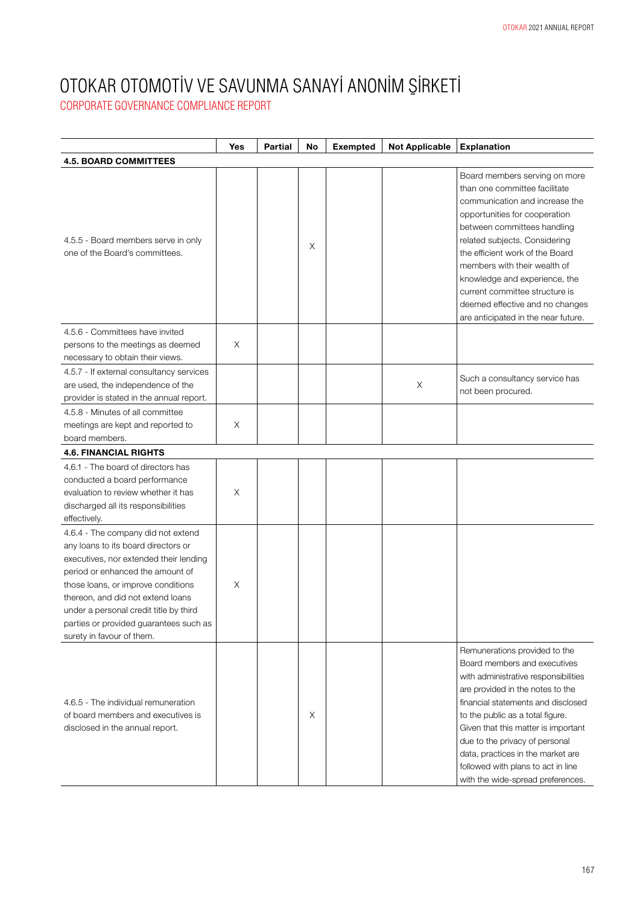|                                                                                                                                                                                                                                                                                                                                                     | Yes      | <b>Partial</b> | No | <b>Exempted</b> | <b>Not Applicable</b> | <b>Explanation</b>                                                                                                                                                                                                                                                                                                                                                                                                |
|-----------------------------------------------------------------------------------------------------------------------------------------------------------------------------------------------------------------------------------------------------------------------------------------------------------------------------------------------------|----------|----------------|----|-----------------|-----------------------|-------------------------------------------------------------------------------------------------------------------------------------------------------------------------------------------------------------------------------------------------------------------------------------------------------------------------------------------------------------------------------------------------------------------|
| <b>4.5. BOARD COMMITTEES</b>                                                                                                                                                                                                                                                                                                                        |          |                |    |                 |                       |                                                                                                                                                                                                                                                                                                                                                                                                                   |
| 4.5.5 - Board members serve in only<br>one of the Board's committees.                                                                                                                                                                                                                                                                               |          |                | X  |                 |                       | Board members serving on more<br>than one committee facilitate<br>communication and increase the<br>opportunities for cooperation<br>between committees handling<br>related subjects. Considering<br>the efficient work of the Board<br>members with their wealth of<br>knowledge and experience, the<br>current committee structure is<br>deemed effective and no changes<br>are anticipated in the near future. |
| 4.5.6 - Committees have invited                                                                                                                                                                                                                                                                                                                     |          |                |    |                 |                       |                                                                                                                                                                                                                                                                                                                                                                                                                   |
| persons to the meetings as deemed                                                                                                                                                                                                                                                                                                                   | X        |                |    |                 |                       |                                                                                                                                                                                                                                                                                                                                                                                                                   |
| necessary to obtain their views.                                                                                                                                                                                                                                                                                                                    |          |                |    |                 |                       |                                                                                                                                                                                                                                                                                                                                                                                                                   |
| 4.5.7 - If external consultancy services<br>are used, the independence of the<br>provider is stated in the annual report.                                                                                                                                                                                                                           |          |                |    |                 | Χ                     | Such a consultancy service has<br>not been procured.                                                                                                                                                                                                                                                                                                                                                              |
| 4.5.8 - Minutes of all committee<br>meetings are kept and reported to<br>board members.                                                                                                                                                                                                                                                             | X        |                |    |                 |                       |                                                                                                                                                                                                                                                                                                                                                                                                                   |
| <b>4.6. FINANCIAL RIGHTS</b>                                                                                                                                                                                                                                                                                                                        |          |                |    |                 |                       |                                                                                                                                                                                                                                                                                                                                                                                                                   |
| 4.6.1 - The board of directors has<br>conducted a board performance<br>evaluation to review whether it has<br>discharged all its responsibilities<br>effectively.                                                                                                                                                                                   | X        |                |    |                 |                       |                                                                                                                                                                                                                                                                                                                                                                                                                   |
| 4.6.4 - The company did not extend<br>any loans to its board directors or<br>executives, nor extended their lending<br>period or enhanced the amount of<br>those loans, or improve conditions<br>thereon, and did not extend loans<br>under a personal credit title by third<br>parties or provided guarantees such as<br>surety in favour of them. | $\times$ |                |    |                 |                       |                                                                                                                                                                                                                                                                                                                                                                                                                   |
| 4.6.5 - The individual remuneration<br>of board members and executives is<br>disclosed in the annual report.                                                                                                                                                                                                                                        |          |                | X  |                 |                       | Remunerations provided to the<br>Board members and executives<br>with administrative responsibilities<br>are provided in the notes to the<br>financial statements and disclosed<br>to the public as a total figure.<br>Given that this matter is important<br>due to the privacy of personal<br>data, practices in the market are<br>followed with plans to act in line<br>with the wide-spread preferences.      |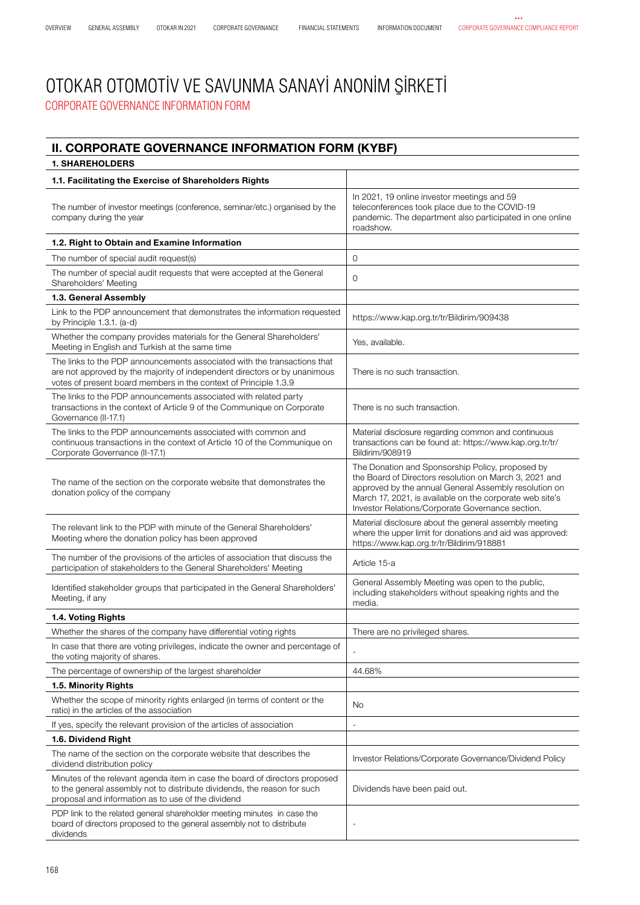#### CORPORATE GOVERNANCE INFORMATION FORM OTOKAR OTOMOTİV VE SAVUNMA SANAYİ ANONİM ŞİRKETİ

#### **II. CORPORATE GOVERNANCE INFORMATION FORM (KYBF)**

| 1. SHAREHOLDERS                                                                                                                                                                                                           |                                                                                                                                                                                                                                                                                     |
|---------------------------------------------------------------------------------------------------------------------------------------------------------------------------------------------------------------------------|-------------------------------------------------------------------------------------------------------------------------------------------------------------------------------------------------------------------------------------------------------------------------------------|
| 1.1. Facilitating the Exercise of Shareholders Rights                                                                                                                                                                     |                                                                                                                                                                                                                                                                                     |
| The number of investor meetings (conference, seminar/etc.) organised by the<br>company during the year                                                                                                                    | In 2021, 19 online investor meetings and 59<br>teleconferences took place due to the COVID-19<br>pandemic. The department also participated in one online<br>roadshow.                                                                                                              |
| 1.2. Right to Obtain and Examine Information                                                                                                                                                                              |                                                                                                                                                                                                                                                                                     |
| The number of special audit request(s)                                                                                                                                                                                    | $\mathbf{O}$                                                                                                                                                                                                                                                                        |
| The number of special audit requests that were accepted at the General<br>Shareholders' Meeting                                                                                                                           | $\Omega$                                                                                                                                                                                                                                                                            |
| 1.3. General Assembly                                                                                                                                                                                                     |                                                                                                                                                                                                                                                                                     |
| Link to the PDP announcement that demonstrates the information requested<br>by Principle 1.3.1. (a-d)                                                                                                                     | https://www.kap.org.tr/tr/Bildirim/909438                                                                                                                                                                                                                                           |
| Whether the company provides materials for the General Shareholders'<br>Meeting in English and Turkish at the same time                                                                                                   | Yes, available.                                                                                                                                                                                                                                                                     |
| The links to the PDP announcements associated with the transactions that<br>are not approved by the majority of independent directors or by unanimous<br>votes of present board members in the context of Principle 1.3.9 | There is no such transaction.                                                                                                                                                                                                                                                       |
| The links to the PDP announcements associated with related party<br>transactions in the context of Article 9 of the Communique on Corporate<br>Governance (II-17.1)                                                       | There is no such transaction.                                                                                                                                                                                                                                                       |
| The links to the PDP announcements associated with common and<br>continuous transactions in the context of Article 10 of the Communique on<br>Corporate Governance (II-17.1)                                              | Material disclosure regarding common and continuous<br>transactions can be found at: https://www.kap.org.tr/tr/<br>Bildirim/908919                                                                                                                                                  |
| The name of the section on the corporate website that demonstrates the<br>donation policy of the company                                                                                                                  | The Donation and Sponsorship Policy, proposed by<br>the Board of Directors resolution on March 3, 2021 and<br>approved by the annual General Assembly resolution on<br>March 17, 2021, is available on the corporate web site's<br>Investor Relations/Corporate Governance section. |
| The relevant link to the PDP with minute of the General Shareholders'<br>Meeting where the donation policy has been approved                                                                                              | Material disclosure about the general assembly meeting<br>where the upper limit for donations and aid was approved:<br>https://www.kap.org.tr/tr/Bildirim/918881                                                                                                                    |
| The number of the provisions of the articles of association that discuss the<br>participation of stakeholders to the General Shareholders' Meeting                                                                        | Article 15-a                                                                                                                                                                                                                                                                        |
| Identified stakeholder groups that participated in the General Shareholders'<br>Meeting, if any                                                                                                                           | General Assembly Meeting was open to the public,<br>including stakeholders without speaking rights and the<br>media.                                                                                                                                                                |
| 1.4. Voting Rights                                                                                                                                                                                                        |                                                                                                                                                                                                                                                                                     |
| Whether the shares of the company have differential voting rights                                                                                                                                                         | There are no privileged shares.                                                                                                                                                                                                                                                     |
| In case that there are voting privileges, indicate the owner and percentage of<br>the voting majority of shares.                                                                                                          |                                                                                                                                                                                                                                                                                     |
| The percentage of ownership of the largest shareholder                                                                                                                                                                    | 44.68%                                                                                                                                                                                                                                                                              |
| 1.5. Minority Rights                                                                                                                                                                                                      |                                                                                                                                                                                                                                                                                     |
| Whether the scope of minority rights enlarged (in terms of content or the<br>ratio) in the articles of the association                                                                                                    | No                                                                                                                                                                                                                                                                                  |
| If yes, specify the relevant provision of the articles of association                                                                                                                                                     | ÷,                                                                                                                                                                                                                                                                                  |
| 1.6. Dividend Right                                                                                                                                                                                                       |                                                                                                                                                                                                                                                                                     |
| The name of the section on the corporate website that describes the<br>dividend distribution policy                                                                                                                       | Investor Relations/Corporate Governance/Dividend Policy                                                                                                                                                                                                                             |
| Minutes of the relevant agenda item in case the board of directors proposed<br>to the general assembly not to distribute dividends, the reason for such<br>proposal and information as to use of the dividend             | Dividends have been paid out.                                                                                                                                                                                                                                                       |
| PDP link to the related general shareholder meeting minutes in case the<br>board of directors proposed to the general assembly not to distribute<br>dividends                                                             |                                                                                                                                                                                                                                                                                     |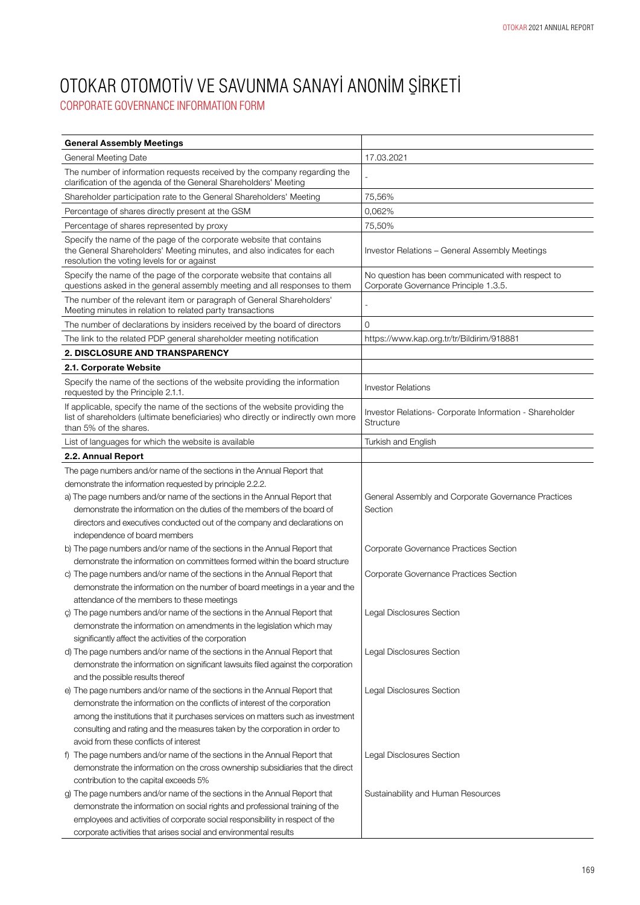| <b>General Assembly Meetings</b>                                                                                                                                                             |                                                                                            |
|----------------------------------------------------------------------------------------------------------------------------------------------------------------------------------------------|--------------------------------------------------------------------------------------------|
| General Meeting Date                                                                                                                                                                         | 17.03.2021                                                                                 |
| The number of information requests received by the company regarding the<br>clarification of the agenda of the General Shareholders' Meeting                                                 |                                                                                            |
| Shareholder participation rate to the General Shareholders' Meeting                                                                                                                          | 75,56%                                                                                     |
| Percentage of shares directly present at the GSM                                                                                                                                             | 0,062%                                                                                     |
| Percentage of shares represented by proxy                                                                                                                                                    | 75,50%                                                                                     |
| Specify the name of the page of the corporate website that contains<br>the General Shareholders' Meeting minutes, and also indicates for each<br>resolution the voting levels for or against | Investor Relations - General Assembly Meetings                                             |
| Specify the name of the page of the corporate website that contains all<br>questions asked in the general assembly meeting and all responses to them                                         | No question has been communicated with respect to<br>Corporate Governance Principle 1.3.5. |
| The number of the relevant item or paragraph of General Shareholders'<br>Meeting minutes in relation to related party transactions                                                           |                                                                                            |
| The number of declarations by insiders received by the board of directors                                                                                                                    | 0                                                                                          |
| The link to the related PDP general shareholder meeting notification                                                                                                                         | https://www.kap.org.tr/tr/Bildirim/918881                                                  |
| 2. DISCLOSURE AND TRANSPARENCY                                                                                                                                                               |                                                                                            |
| 2.1. Corporate Website                                                                                                                                                                       |                                                                                            |
| Specify the name of the sections of the website providing the information<br>requested by the Principle 2.1.1.                                                                               | <b>Investor Relations</b>                                                                  |
| If applicable, specify the name of the sections of the website providing the<br>list of shareholders (ultimate beneficiaries) who directly or indirectly own more<br>than 5% of the shares.  | Investor Relations- Corporate Information - Shareholder<br><b>Structure</b>                |
| List of languages for which the website is available                                                                                                                                         | Turkish and English                                                                        |
| 2.2. Annual Report                                                                                                                                                                           |                                                                                            |
| The page numbers and/or name of the sections in the Annual Report that                                                                                                                       |                                                                                            |
| demonstrate the information requested by principle 2.2.2.                                                                                                                                    |                                                                                            |
| a) The page numbers and/or name of the sections in the Annual Report that                                                                                                                    | General Assembly and Corporate Governance Practices                                        |
| demonstrate the information on the duties of the members of the board of                                                                                                                     | Section                                                                                    |
| directors and executives conducted out of the company and declarations on                                                                                                                    |                                                                                            |
| independence of board members                                                                                                                                                                |                                                                                            |
| b) The page numbers and/or name of the sections in the Annual Report that                                                                                                                    | Corporate Governance Practices Section                                                     |
| demonstrate the information on committees formed within the board structure                                                                                                                  |                                                                                            |
| c) The page numbers and/or name of the sections in the Annual Report that                                                                                                                    | Corporate Governance Practices Section                                                     |
| demonstrate the information on the number of board meetings in a year and the                                                                                                                |                                                                                            |
| attendance of the members to these meetings                                                                                                                                                  |                                                                                            |
| ç) The page numbers and/or name of the sections in the Annual Report that                                                                                                                    | Legal Disclosures Section                                                                  |
| demonstrate the information on amendments in the legislation which may                                                                                                                       |                                                                                            |
| significantly affect the activities of the corporation<br>d) The page numbers and/or name of the sections in the Annual Report that                                                          |                                                                                            |
| demonstrate the information on significant lawsuits filed against the corporation                                                                                                            | Legal Disclosures Section                                                                  |
| and the possible results thereof                                                                                                                                                             |                                                                                            |
| e) The page numbers and/or name of the sections in the Annual Report that                                                                                                                    | Legal Disclosures Section                                                                  |
| demonstrate the information on the conflicts of interest of the corporation                                                                                                                  |                                                                                            |
| among the institutions that it purchases services on matters such as investment                                                                                                              |                                                                                            |
| consulting and rating and the measures taken by the corporation in order to                                                                                                                  |                                                                                            |
| avoid from these conflicts of interest                                                                                                                                                       |                                                                                            |
| f) The page numbers and/or name of the sections in the Annual Report that                                                                                                                    | Legal Disclosures Section                                                                  |
| demonstrate the information on the cross ownership subsidiaries that the direct                                                                                                              |                                                                                            |
| contribution to the capital exceeds 5%                                                                                                                                                       |                                                                                            |
| g) The page numbers and/or name of the sections in the Annual Report that                                                                                                                    | Sustainability and Human Resources                                                         |
| demonstrate the information on social rights and professional training of the                                                                                                                |                                                                                            |
| employees and activities of corporate social responsibility in respect of the                                                                                                                |                                                                                            |
| corporate activities that arises social and environmental results                                                                                                                            |                                                                                            |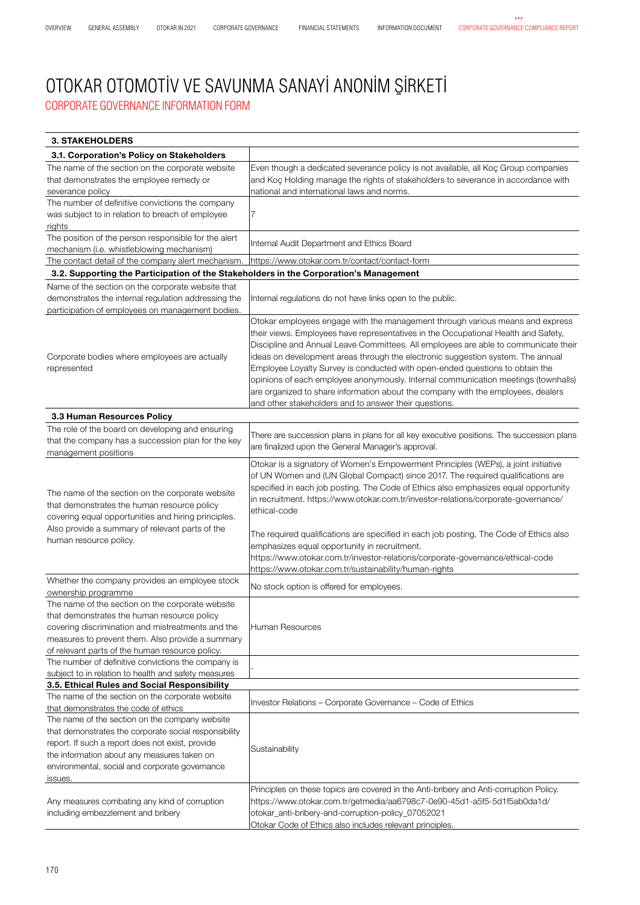#### CORPORATE GOVERNANCE INFORMATION FORM OTOKAR OTOMOTİV VE SAVUNMA SANAYİ ANONİM ŞİRKETİ

| <b>3. STAKEHOLDERS</b>                                                                                                                                                                                                                                                                                                                    |                                                                                                                                                                                                                                                                                                                                                                                                                                                                                                                                                                                                                                                                  |
|-------------------------------------------------------------------------------------------------------------------------------------------------------------------------------------------------------------------------------------------------------------------------------------------------------------------------------------------|------------------------------------------------------------------------------------------------------------------------------------------------------------------------------------------------------------------------------------------------------------------------------------------------------------------------------------------------------------------------------------------------------------------------------------------------------------------------------------------------------------------------------------------------------------------------------------------------------------------------------------------------------------------|
| 3.1. Corporation's Policy on Stakeholders                                                                                                                                                                                                                                                                                                 |                                                                                                                                                                                                                                                                                                                                                                                                                                                                                                                                                                                                                                                                  |
| The name of the section on the corporate website<br>that demonstrates the employee remedy or<br>severance policy<br>The number of definitive convictions the company                                                                                                                                                                      | Even though a dedicated severance policy is not available, all Koç Group companies<br>and Koç Holding manage the rights of stakeholders to severance in accordance with<br>national and international laws and norms.                                                                                                                                                                                                                                                                                                                                                                                                                                            |
| was subject to in relation to breach of employee<br>rights                                                                                                                                                                                                                                                                                | 7                                                                                                                                                                                                                                                                                                                                                                                                                                                                                                                                                                                                                                                                |
| The position of the person responsible for the alert<br>mechanism (i.e. whistleblowing mechanism)                                                                                                                                                                                                                                         | Internal Audit Department and Ethics Board                                                                                                                                                                                                                                                                                                                                                                                                                                                                                                                                                                                                                       |
| The contact detail of the company alert mechanism.                                                                                                                                                                                                                                                                                        | https://www.otokar.com.tr/contact/contact-form                                                                                                                                                                                                                                                                                                                                                                                                                                                                                                                                                                                                                   |
| 3.2. Supporting the Participation of the Stakeholders in the Corporation's Management                                                                                                                                                                                                                                                     |                                                                                                                                                                                                                                                                                                                                                                                                                                                                                                                                                                                                                                                                  |
| Name of the section on the corporate website that<br>demonstrates the internal regulation addressing the<br>participation of employees on management bodies.                                                                                                                                                                              | Internal regulations do not have links open to the public.                                                                                                                                                                                                                                                                                                                                                                                                                                                                                                                                                                                                       |
| Corporate bodies where employees are actually<br>represented                                                                                                                                                                                                                                                                              | Otokar employees engage with the management through various means and express<br>their views. Employees have representatives in the Occupational Health and Safety,<br>Discipline and Annual Leave Committees. All employees are able to communicate their<br>ideas on development areas through the electronic suggestion system. The annual<br>Employee Loyalty Survey is conducted with open-ended questions to obtain the<br>opinions of each employee anonymously. Internal communication meetings (townhalls)<br>are organized to share information about the company with the employees, dealers<br>and other stakeholders and to answer their questions. |
| 3.3 Human Resources Policy                                                                                                                                                                                                                                                                                                                |                                                                                                                                                                                                                                                                                                                                                                                                                                                                                                                                                                                                                                                                  |
| The role of the board on developing and ensuring<br>that the company has a succession plan for the key<br>management positions                                                                                                                                                                                                            | There are succession plans in plans for all key executive positions. The succession plans<br>are finalized upon the General Manager's approval.                                                                                                                                                                                                                                                                                                                                                                                                                                                                                                                  |
| The name of the section on the corporate website<br>that demonstrates the human resource policy<br>covering equal opportunities and hiring principles.<br>Also provide a summary of relevant parts of the<br>human resource policy.                                                                                                       | Otokar is a signatory of Women's Empowerment Principles (WEPs), a joint initiative<br>of UN Women and (UN Global Compact) since 2017. The required qualifications are<br>specified in each job posting. The Code of Ethics also emphasizes equal opportunity<br>in recruitment. https://www.otokar.com.tr/investor-relations/corporate-governance/<br>ethical-code<br>The required qualifications are specified in each job posting. The Code of Ethics also<br>emphasizes equal opportunity in recruitment.<br>https://www.otokar.com.tr/investor-relations/corporate-governance/ethical-code                                                                   |
| Whether the company provides an employee stock                                                                                                                                                                                                                                                                                            | https://www.otokar.com.tr/sustainability/human-rights<br>No stock option is offered for employees.                                                                                                                                                                                                                                                                                                                                                                                                                                                                                                                                                               |
| ownership programme<br>The name of the section on the corporate website<br>that demonstrates the human resource policy<br>covering discrimination and mistreatments and the<br>measures to prevent them. Also provide a summary<br>of relevant parts of the human resource policy.<br>The number of definitive convictions the company is | Human Resources                                                                                                                                                                                                                                                                                                                                                                                                                                                                                                                                                                                                                                                  |
| subject to in relation to health and safety measures                                                                                                                                                                                                                                                                                      |                                                                                                                                                                                                                                                                                                                                                                                                                                                                                                                                                                                                                                                                  |
| 3.5. Ethical Rules and Social Responsibility                                                                                                                                                                                                                                                                                              |                                                                                                                                                                                                                                                                                                                                                                                                                                                                                                                                                                                                                                                                  |
| The name of the section on the corporate website                                                                                                                                                                                                                                                                                          | Investor Relations - Corporate Governance - Code of Ethics                                                                                                                                                                                                                                                                                                                                                                                                                                                                                                                                                                                                       |
| that demonstrates the code of ethics<br>The name of the section on the company website<br>that demonstrates the corporate social responsibility<br>report. If such a report does not exist, provide<br>the information about any measures taken on<br>environmental, social and corporate governance<br>issues.                           | Sustainability                                                                                                                                                                                                                                                                                                                                                                                                                                                                                                                                                                                                                                                   |
| Any measures combating any kind of corruption<br>including embezzlement and bribery                                                                                                                                                                                                                                                       | Principles on these topics are covered in the Anti-bribery and Anti-corruption Policy.<br>https://www.otokar.com.tr/getmedia/aa6798c7-0e90-45d1-a5f5-5d1f5ab0da1d/<br>otokar_anti-bribery-and-corruption-policy_07052021<br>Otokar Code of Ethics also includes relevant principles.                                                                                                                                                                                                                                                                                                                                                                             |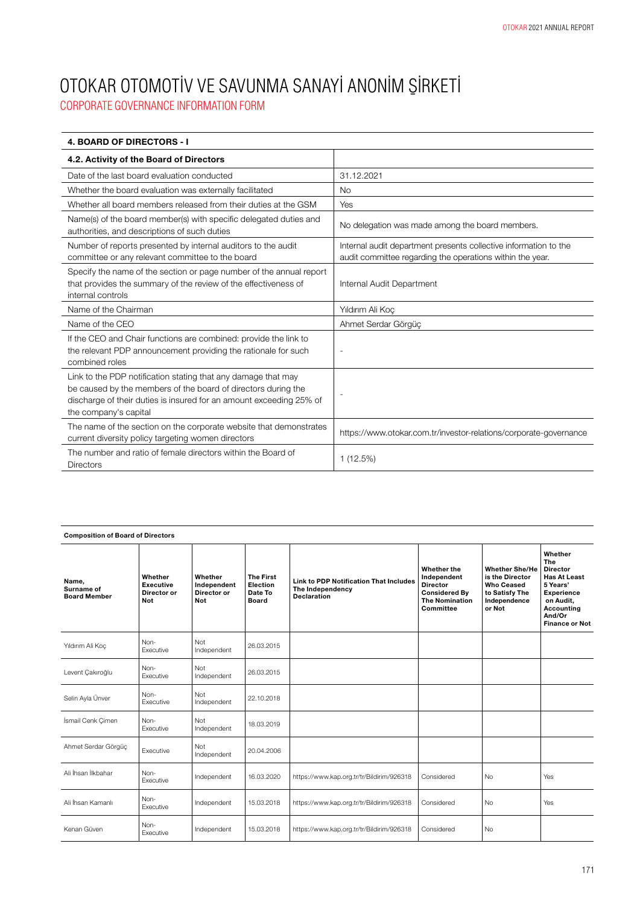| <b>4. BOARD OF DIRECTORS - I</b>                                                                                                                                                                                               |                                                                                                                               |
|--------------------------------------------------------------------------------------------------------------------------------------------------------------------------------------------------------------------------------|-------------------------------------------------------------------------------------------------------------------------------|
| 4.2. Activity of the Board of Directors                                                                                                                                                                                        |                                                                                                                               |
| Date of the last board evaluation conducted                                                                                                                                                                                    | 31.12.2021                                                                                                                    |
| Whether the board evaluation was externally facilitated                                                                                                                                                                        | <b>No</b>                                                                                                                     |
| Whether all board members released from their duties at the GSM                                                                                                                                                                | Yes                                                                                                                           |
| Name(s) of the board member(s) with specific delegated duties and<br>authorities, and descriptions of such duties                                                                                                              | No delegation was made among the board members.                                                                               |
| Number of reports presented by internal auditors to the audit<br>committee or any relevant committee to the board                                                                                                              | Internal audit department presents collective information to the<br>audit committee regarding the operations within the year. |
| Specify the name of the section or page number of the annual report<br>that provides the summary of the review of the effectiveness of<br>internal controls                                                                    | Internal Audit Department                                                                                                     |
| Name of the Chairman                                                                                                                                                                                                           | Yıldırım Ali Koç                                                                                                              |
| Name of the CEO                                                                                                                                                                                                                | Ahmet Serdar Görgüc                                                                                                           |
| If the CEO and Chair functions are combined: provide the link to<br>the relevant PDP announcement providing the rationale for such<br>combined roles                                                                           |                                                                                                                               |
| Link to the PDP notification stating that any damage that may<br>be caused by the members of the board of directors during the<br>discharge of their duties is insured for an amount exceeding 25% of<br>the company's capital |                                                                                                                               |
| The name of the section on the corporate website that demonstrates<br>current diversity policy targeting women directors                                                                                                       | https://www.otokar.com.tr/investor-relations/corporate-governance                                                             |
| The number and ratio of female directors within the Board of<br><b>Directors</b>                                                                                                                                               | 1(12.5%)                                                                                                                      |

| <b>Composition of Board of Directors</b>   |                                            |                                              |                                                         |                                                                                         |                                                                                                             |                                                                                                           |                                                                                                                                                         |
|--------------------------------------------|--------------------------------------------|----------------------------------------------|---------------------------------------------------------|-----------------------------------------------------------------------------------------|-------------------------------------------------------------------------------------------------------------|-----------------------------------------------------------------------------------------------------------|---------------------------------------------------------------------------------------------------------------------------------------------------------|
| Name,<br>Surname of<br><b>Board Member</b> | Whether<br>Executive<br>Director or<br>Not | Whether<br>Independent<br>Director or<br>Not | <b>The First</b><br>Election<br>Date To<br><b>Board</b> | <b>Link to PDP Notification That Includes</b><br>The Independency<br><b>Declaration</b> | Whether the<br>Independent<br><b>Director</b><br><b>Considered Bv</b><br><b>The Nomination</b><br>Committee | <b>Whether She/He</b><br>is the Director<br><b>Who Ceased</b><br>to Satisfy The<br>Independence<br>or Not | Whether<br>The<br><b>Director</b><br><b>Has At Least</b><br>5 Years'<br><b>Experience</b><br>on Audit,<br>Accounting<br>And/Or<br><b>Finance or Not</b> |
| Yıldırım Ali Koc                           | Non-<br>Executive                          | Not<br>Independent                           | 26.03.2015                                              |                                                                                         |                                                                                                             |                                                                                                           |                                                                                                                                                         |
| Levent Çakıroğlu                           | Non-<br>Executive                          | Not<br>Independent                           | 26.03.2015                                              |                                                                                         |                                                                                                             |                                                                                                           |                                                                                                                                                         |
| Selin Ayla Ünver                           | Non-<br>Executive                          | Not<br>Independent                           | 22.10.2018                                              |                                                                                         |                                                                                                             |                                                                                                           |                                                                                                                                                         |
| İsmail Cenk Çimen                          | Non-<br>Executive                          | Not<br>Independent                           | 18.03.2019                                              |                                                                                         |                                                                                                             |                                                                                                           |                                                                                                                                                         |
| Ahmet Serdar Görgüç                        | Executive                                  | Not<br>Independent                           | 20.04.2006                                              |                                                                                         |                                                                                                             |                                                                                                           |                                                                                                                                                         |
| Ali İhsan İlkbahar                         | Non-<br>Executive                          | Independent                                  | 16.03.2020                                              | https://www.kap.org.tr/tr/Bildirim/926318                                               | Considered                                                                                                  | No                                                                                                        | Yes                                                                                                                                                     |
| Ali İhsan Kamanlı                          | Non-<br>Executive                          | Independent                                  | 15.03.2018                                              | https://www.kap.org.tr/tr/Bildirim/926318                                               | Considered                                                                                                  | <b>No</b>                                                                                                 | Yes                                                                                                                                                     |
| Kenan Güven                                | Non-<br>Executive                          | Independent                                  | 15.03.2018                                              | https://www.kap.org.tr/tr/Bildirim/926318                                               | Considered                                                                                                  | <b>No</b>                                                                                                 |                                                                                                                                                         |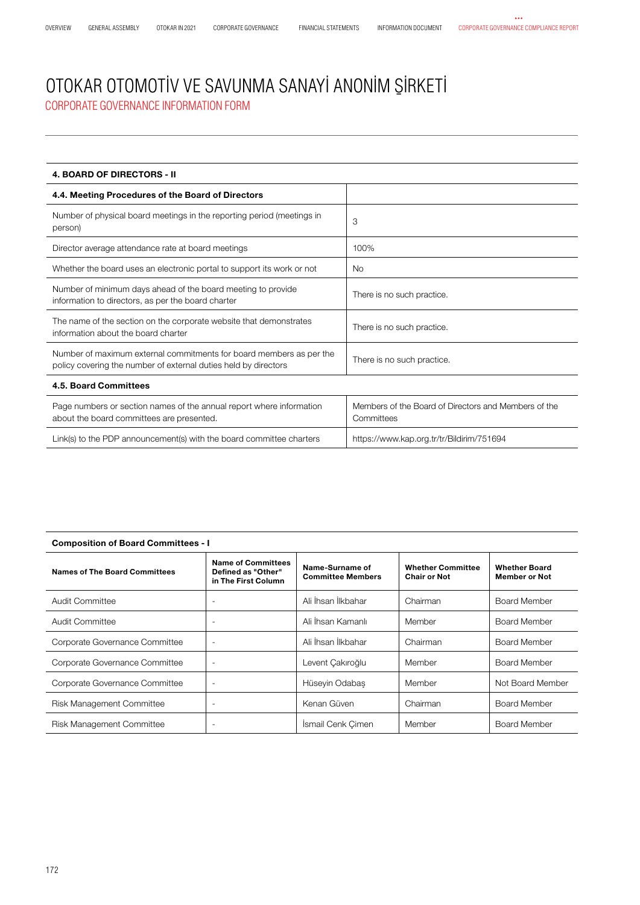| <b>4. BOARD OF DIRECTORS - II</b>                                                                                                      |                                                                    |  |  |  |  |
|----------------------------------------------------------------------------------------------------------------------------------------|--------------------------------------------------------------------|--|--|--|--|
| 4.4. Meeting Procedures of the Board of Directors                                                                                      |                                                                    |  |  |  |  |
| Number of physical board meetings in the reporting period (meetings in<br>person)                                                      | 3                                                                  |  |  |  |  |
| Director average attendance rate at board meetings                                                                                     | 100%                                                               |  |  |  |  |
| Whether the board uses an electronic portal to support its work or not                                                                 | <b>No</b>                                                          |  |  |  |  |
| Number of minimum days ahead of the board meeting to provide<br>information to directors, as per the board charter                     | There is no such practice.                                         |  |  |  |  |
| The name of the section on the corporate website that demonstrates<br>information about the board charter                              | There is no such practice.                                         |  |  |  |  |
| Number of maximum external commitments for board members as per the<br>policy covering the number of external duties held by directors | There is no such practice.                                         |  |  |  |  |
| 4.5. Board Committees                                                                                                                  |                                                                    |  |  |  |  |
| Page numbers or section names of the annual report where information<br>about the board committees are presented.                      | Members of the Board of Directors and Members of the<br>Committees |  |  |  |  |
| Link(s) to the PDP announcement(s) with the board committee charters                                                                   | https://www.kap.org.tr/tr/Bildirim/751694                          |  |  |  |  |

| <b>Composition of Board Committees - I</b> |                                                                                                                       |                    |                                                 |                                              |  |
|--------------------------------------------|-----------------------------------------------------------------------------------------------------------------------|--------------------|-------------------------------------------------|----------------------------------------------|--|
| Names of The Board Committees              | <b>Name of Committees</b><br>Name-Surname of<br>Defined as "Other"<br><b>Committee Members</b><br>in The First Column |                    | <b>Whether Committee</b><br><b>Chair or Not</b> | <b>Whether Board</b><br><b>Member or Not</b> |  |
| Audit Committee                            |                                                                                                                       | Ali İhsan İlkbahar | Chairman                                        | Board Member                                 |  |
| Audit Committee                            | ٠                                                                                                                     | Ali İhsan Kamanlı  | Member                                          | Board Member                                 |  |
| Corporate Governance Committee             | $\overline{\phantom{a}}$                                                                                              | Ali İhsan İlkbahar | Chairman                                        | Board Member                                 |  |
| Corporate Governance Committee             | ٠                                                                                                                     | Levent Çakıroğlu   | Member                                          | Board Member                                 |  |
| Corporate Governance Committee             | ۰.                                                                                                                    | Hüseyin Odabaş     | Member                                          | Not Board Member                             |  |
| Risk Management Committee                  | ٠                                                                                                                     | Kenan Güven        | Chairman                                        | <b>Board Member</b>                          |  |
| <b>Risk Management Committee</b>           | ٠                                                                                                                     | İsmail Cenk Çimen  | Member                                          | <b>Board Member</b>                          |  |